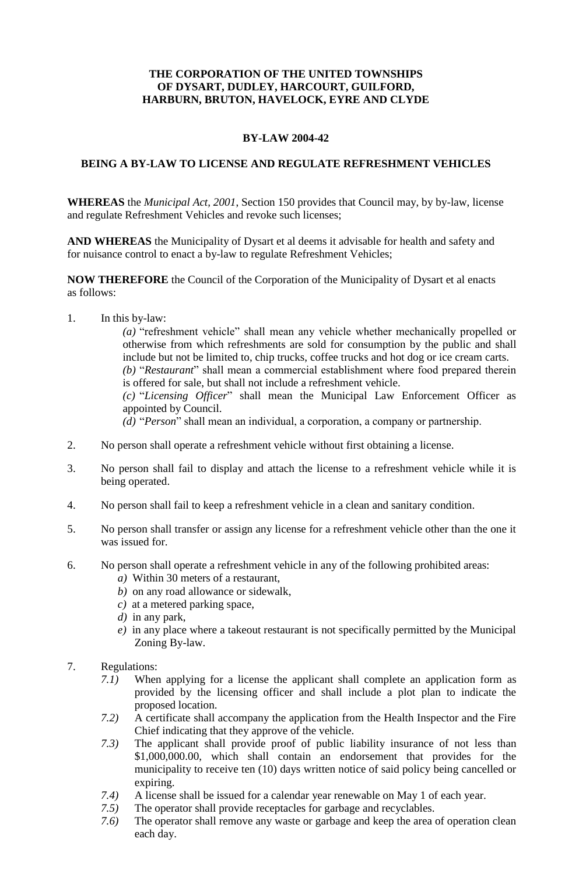## **THE CORPORATION OF THE UNITED TOWNSHIPS OF DYSART, DUDLEY, HARCOURT, GUILFORD, HARBURN, BRUTON, HAVELOCK, EYRE AND CLYDE**

## **BY-LAW 2004-42**

## **BEING A BY-LAW TO LICENSE AND REGULATE REFRESHMENT VEHICLES**

**WHEREAS** the *Municipal Act, 2001*, Section 150 provides that Council may, by by-law, license and regulate Refreshment Vehicles and revoke such licenses;

**AND WHEREAS** the Municipality of Dysart et al deems it advisable for health and safety and for nuisance control to enact a by-law to regulate Refreshment Vehicles;

**NOW THEREFORE** the Council of the Corporation of the Municipality of Dysart et al enacts as follows:

1. In this by-law:

*(a)* "refreshment vehicle" shall mean any vehicle whether mechanically propelled or otherwise from which refreshments are sold for consumption by the public and shall include but not be limited to, chip trucks, coffee trucks and hot dog or ice cream carts. *(b)* "*Restaurant*" shall mean a commercial establishment where food prepared therein is offered for sale, but shall not include a refreshment vehicle.

*(c)* "*Licensing Officer*" shall mean the Municipal Law Enforcement Officer as appointed by Council.

*(d)* "*Person*" shall mean an individual, a corporation, a company or partnership.

- 2. No person shall operate a refreshment vehicle without first obtaining a license.
- 3. No person shall fail to display and attach the license to a refreshment vehicle while it is being operated.
- 4. No person shall fail to keep a refreshment vehicle in a clean and sanitary condition.
- 5. No person shall transfer or assign any license for a refreshment vehicle other than the one it was issued for.
- 6. No person shall operate a refreshment vehicle in any of the following prohibited areas:
	- *a)* Within 30 meters of a restaurant,
	- *b)* on any road allowance or sidewalk,
	- *c)* at a metered parking space,
	- *d)* in any park,
	- *e)* in any place where a takeout restaurant is not specifically permitted by the Municipal Zoning By-law.
- 7. Regulations:
	- *7.1)* When applying for a license the applicant shall complete an application form as provided by the licensing officer and shall include a plot plan to indicate the proposed location.
	- *7.2)* A certificate shall accompany the application from the Health Inspector and the Fire Chief indicating that they approve of the vehicle.
	- *7.3)* The applicant shall provide proof of public liability insurance of not less than \$1,000,000.00, which shall contain an endorsement that provides for the municipality to receive ten (10) days written notice of said policy being cancelled or expiring.
	- *7.4)* A license shall be issued for a calendar year renewable on May 1 of each year.
	- *7.5)* The operator shall provide receptacles for garbage and recyclables.
	- *7.6)* The operator shall remove any waste or garbage and keep the area of operation clean each day.